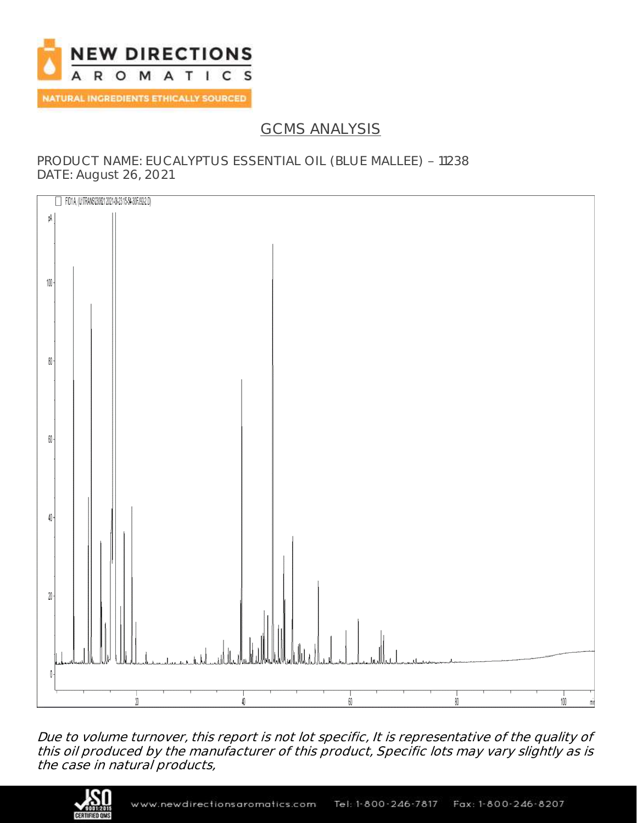

# GCMS ANALYSIS

### PRODUCT NAME: EUCALYPTUS ESSENTIAL OIL (BLUE MALLEE) - 11238 DATE: August 26, 2021



Due to volume turnover, this report is not lot specific, It is representative of the quality of this oil produced by the manufacturer of this product, Specific lots may vary slightly as is the case in natural products,

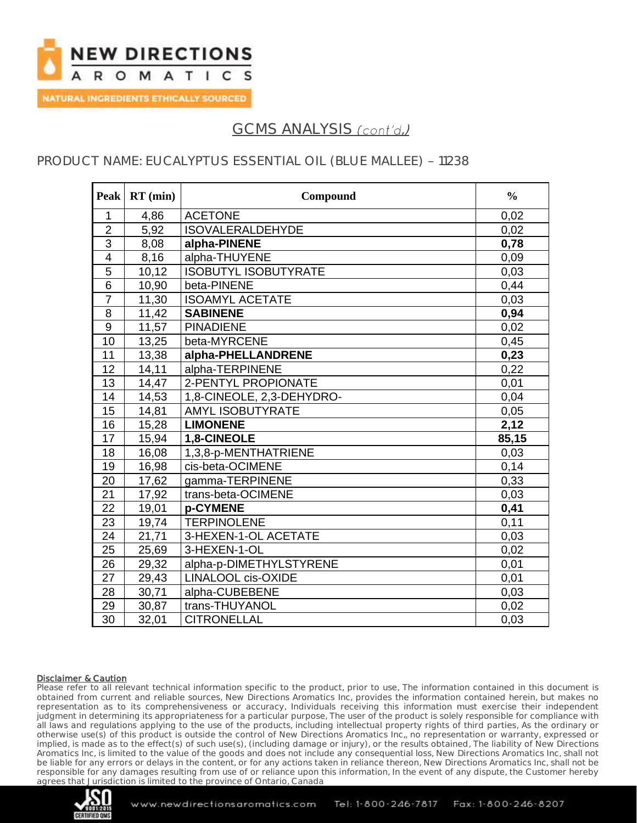

# GCMS ANALYSIS (cont'd.)

## PRODUCT NAME: EUCALYPTUS ESSENTIAL OIL (BLUE MALLEE) - 11238

| Peak            | $RT$ (min) | Compound                    | $\frac{0}{0}$ |
|-----------------|------------|-----------------------------|---------------|
| $\mathbf{1}$    | 4,86       | <b>ACETONE</b>              | 0,02          |
| $\overline{2}$  | 5,92       | <b>ISOVALERALDEHYDE</b>     | 0,02          |
| $\overline{3}$  | 8,08       | alpha-PINENE                | 0,78          |
| $\overline{4}$  | 8,16       | alpha-THUYENE               | 0,09          |
| 5               | 10,12      | <b>ISOBUTYL ISOBUTYRATE</b> | 0,03          |
| $\overline{6}$  | 10,90      | beta-PINENE                 | 0,44          |
| $\overline{7}$  | 11,30      | <b>ISOAMYL ACETATE</b>      | 0,03          |
| 8               | 11,42      | <b>SABINENE</b>             | 0,94          |
| $\overline{9}$  | 11,57      | <b>PINADIENE</b>            | 0,02          |
| 10              | 13,25      | beta-MYRCENE                | 0,45          |
| 11              | 13,38      | alpha-PHELLANDRENE          | 0,23          |
| 12              | 14,11      | alpha-TERPINENE             | 0,22          |
| 13              | 14,47      | 2-PENTYL PROPIONATE         | 0,01          |
| 14              | 14,53      | 1,8-CINEOLE, 2,3-DEHYDRO-   | 0,04          |
| 15              | 14,81      | <b>AMYL ISOBUTYRATE</b>     | 0,05          |
| 16              | 15,28      | <b>LIMONENE</b>             | 2,12          |
| 17              | 15,94      | 1,8-CINEOLE                 | 85,15         |
| 18              | 16,08      | 1,3,8-p-MENTHATRIENE        | 0,03          |
| 19              | 16,98      | cis-beta-OCIMENE            | 0,14          |
| $\overline{20}$ | 17,62      | gamma-TERPINENE             | 0,33          |
| 21              | 17,92      | trans-beta-OCIMENE          | 0,03          |
| 22              | 19,01      | p-CYMENE                    | 0,41          |
| 23              | 19,74      | <b>TERPINOLENE</b>          | 0,11          |
| 24              | 21,71      | 3-HEXEN-1-OL ACETATE        | 0,03          |
| 25              | 25,69      | 3-HEXEN-1-OL                | 0,02          |
| 26              | 29,32      | alpha-p-DIMETHYLSTYRENE     | 0,01          |
| 27              | 29,43      | <b>LINALOOL cis-OXIDE</b>   | 0,01          |
| 28              | 30,71      | alpha-CUBEBENE              | 0,03          |
| 29              | 30,87      | trans-THUYANOL              | 0,02          |
| 30              | 32,01      | <b>CITRONELLAL</b>          | 0,03          |

#### Disclaimer & Caution

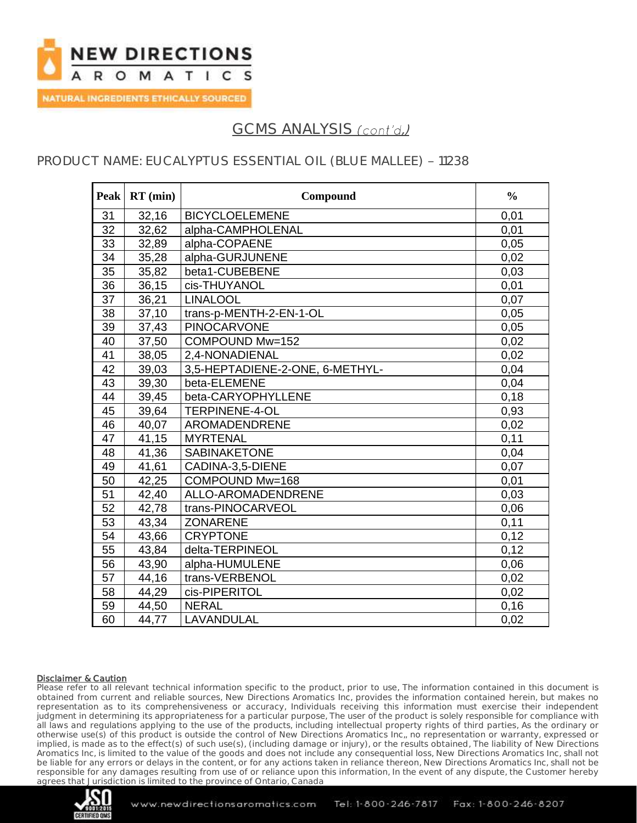

# GCMS ANALYSIS (cont'd.)

## PRODUCT NAME: EUCALYPTUS ESSENTIAL OIL (BLUE MALLEE) - 11238

| <b>Peak</b>     | $RT$ (min) | Compound                        | $\frac{0}{0}$ |
|-----------------|------------|---------------------------------|---------------|
| 31              | 32,16      | <b>BICYCLOELEMENE</b>           | 0,01          |
| $\overline{32}$ | 32,62      | alpha-CAMPHOLENAL               | 0,01          |
| 33              | 32,89      | alpha-COPAENE                   | 0,05          |
| 34              | 35,28      | alpha-GURJUNENE                 | 0,02          |
| 35              | 35,82      | beta1-CUBEBENE                  | 0,03          |
| 36              | 36,15      | cis-THUYANOL                    | 0,01          |
| 37              | 36,21      | <b>LINALOOL</b>                 | 0,07          |
| 38              | 37,10      | trans-p-MENTH-2-EN-1-OL         | 0,05          |
| 39              | 37,43      | <b>PINOCARVONE</b>              | 0,05          |
| 40              | 37,50      | COMPOUND Mw=152                 | 0,02          |
| 41              | 38,05      | 2,4-NONADIENAL                  | 0,02          |
| 42              | 39,03      | 3,5-HEPTADIENE-2-ONE, 6-METHYL- | 0,04          |
| 43              | 39,30      | beta-ELEMENE                    | 0,04          |
| 44              | 39,45      | beta-CARYOPHYLLENE              | 0.18          |
| 45              | 39,64      | <b>TERPINENE-4-OL</b>           | 0,93          |
| 46              | 40,07      | AROMADENDRENE                   | 0,02          |
| 47              | 41,15      | <b>MYRTENAL</b>                 | 0,11          |
| 48              | 41,36      | <b>SABINAKETONE</b>             | 0,04          |
| 49              | 41,61      | CADINA-3,5-DIENE                | 0,07          |
| 50              | 42,25      | COMPOUND Mw=168                 | 0,01          |
| 51              | 42,40      | ALLO-AROMADENDRENE              | 0,03          |
| 52              | 42,78      | trans-PINOCARVEOL               | 0,06          |
| 53              | 43,34      | <b>ZONARENE</b>                 | 0,11          |
| 54              | 43,66      | <b>CRYPTONE</b>                 | 0,12          |
| 55              | 43,84      | delta-TERPINEOL                 | 0,12          |
| 56              | 43,90      | alpha-HUMULENE                  | 0,06          |
| 57              | 44,16      | trans-VERBENOL                  | 0,02          |
| 58              | 44,29      | cis-PIPERITOL                   | 0,02          |
| 59              | 44,50      | <b>NERAL</b>                    | 0, 16         |
| 60              | 44,77      | LAVANDULAL                      | 0,02          |

#### Disclaimer & Caution

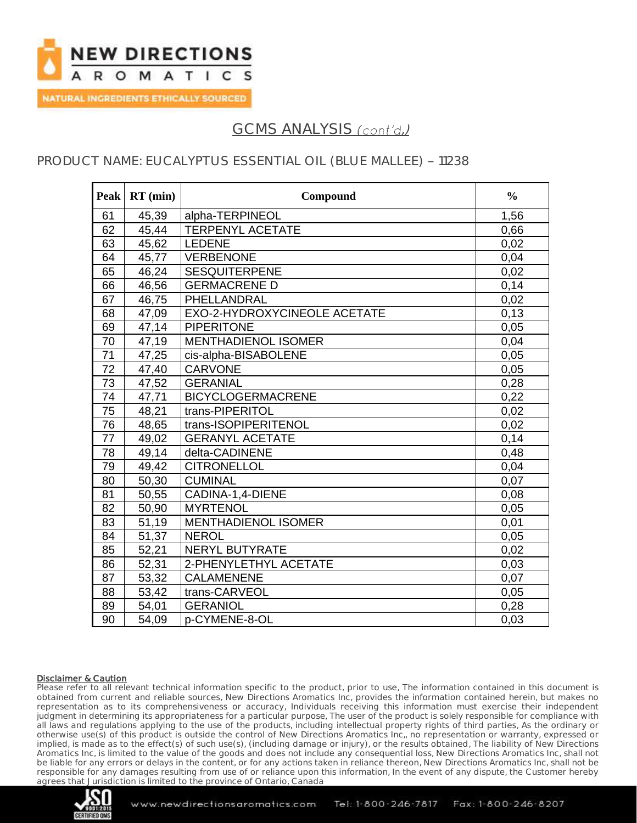

## GCMS ANALYSIS (cont'd.)

## PRODUCT NAME: EUCALYPTUS ESSENTIAL OIL (BLUE MALLEE) - 11238

| <b>Peak</b>     | $RT$ (min) | Compound                     | $\frac{0}{0}$ |
|-----------------|------------|------------------------------|---------------|
| 61              | 45,39      | alpha-TERPINEOL              | 1,56          |
| 62              | 45,44      | <b>TERPENYL ACETATE</b>      | 0,66          |
| 63              | 45,62      | <b>LEDENE</b>                | 0,02          |
| 64              | 45,77      | VERBENONE                    | 0,04          |
| 65              | 46,24      | <b>SESQUITERPENE</b>         | 0,02          |
| 66              | 46,56      | <b>GERMACRENE D</b>          | 0,14          |
| 67              | 46,75      | PHELLANDRAL                  | 0,02          |
| 68              | 47,09      | EXO-2-HYDROXYCINEOLE ACETATE | 0.13          |
| 69              | 47,14      | <b>PIPERITONE</b>            | 0,05          |
| 70              | 47,19      | <b>MENTHADIENOL ISOMER</b>   | 0,04          |
| $\overline{71}$ | 47,25      | cis-alpha-BISABOLENE         | 0,05          |
| 72              | 47,40      | <b>CARVONE</b>               | 0,05          |
| 73              | 47,52      | <b>GERANIAL</b>              | 0,28          |
| $\overline{74}$ | 47,71      | <b>BICYCLOGERMACRENE</b>     | 0,22          |
| 75              | 48,21      | trans-PIPERITOL              | 0,02          |
| 76              | 48,65      | trans-ISOPIPERITENOL         | 0,02          |
| $\overline{77}$ | 49,02      | <b>GERANYL ACETATE</b>       | 0,14          |
| 78              | 49,14      | delta-CADINENE               | 0,48          |
| 79              | 49,42      | <b>CITRONELLOL</b>           | 0,04          |
| 80              | 50,30      | <b>CUMINAL</b>               | 0.07          |
| 81              | 50,55      | CADINA-1,4-DIENE             | 0,08          |
| 82              | 50,90      | <b>MYRTENOL</b>              | 0,05          |
| 83              | 51,19      | <b>MENTHADIENOL ISOMER</b>   | 0,01          |
| 84              | 51,37      | <b>NEROL</b>                 | 0,05          |
| 85              | 52,21      | <b>NERYL BUTYRATE</b>        | 0,02          |
| 86              | 52,31      | 2-PHENYLETHYL ACETATE        | 0,03          |
| 87              | 53,32      | <b>CALAMENENE</b>            | 0,07          |
| 88              | 53,42      | trans-CARVEOL                | 0,05          |
| 89              | 54,01      | <b>GERANIOL</b>              | 0,28          |
| 90              | 54,09      | p-CYMENE-8-OL                | 0,03          |

#### Disclaimer & Caution